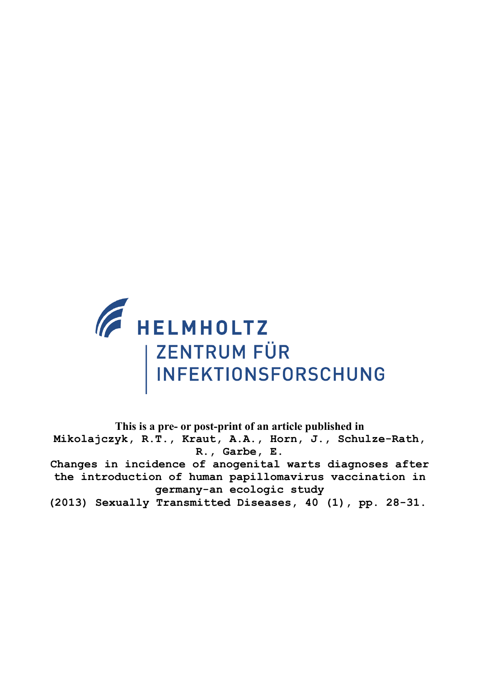

**This is a pre- or post-print of an article published in Mikolajczyk, R.T., Kraut, A.A., Horn, J., Schulze-Rath, R., Garbe, E. Changes in incidence of anogenital warts diagnoses after the introduction of human papillomavirus vaccination in germany-an ecologic study (2013) Sexually Transmitted Diseases, 40 (1), pp. 28-31.**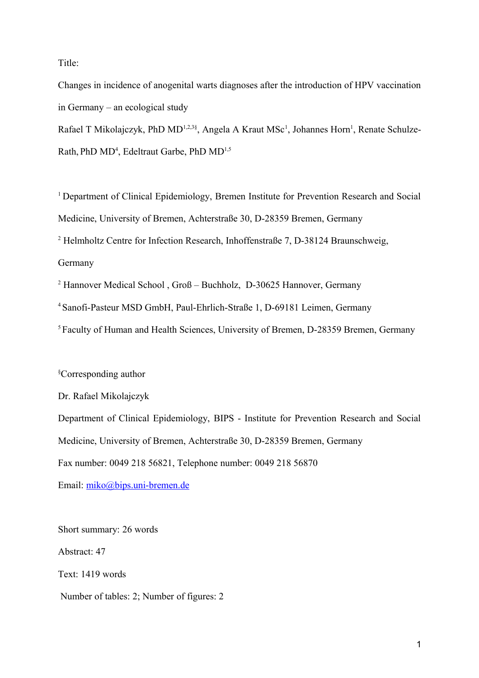Title:

Changes in incidence of anogenital warts diagnoses after the introduction of HPV vaccination in Germany – an ecological study

Rafael T Mikolajczyk, PhD MD<sup>1,2,3§</sup>, Angela A Kraut MSc<sup>1</sup>, Johannes Horn<sup>1</sup>, Renate Schulze-Rath, PhD MD<sup>4</sup>, Edeltraut Garbe, PhD MD<sup>1,5</sup>

<sup>1</sup> Department of Clinical Epidemiology, Bremen Institute for Prevention Research and Social Medicine, University of Bremen, Achterstraße 30, D-28359 Bremen, Germany

<sup>2</sup> Helmholtz Centre for Infection Research, Inhoffenstraße 7, D-38124 Braunschweig,

Germany

<sup>2</sup> Hannover Medical School, Groß – Buchholz, D-30625 Hannover, Germany

<sup>4</sup>Sanofi-Pasteur MSD GmbH, Paul-Ehrlich-Straße 1, D-69181 Leimen, Germany

<sup>5</sup> Faculty of Human and Health Sciences, University of Bremen, D-28359 Bremen, Germany

§Corresponding author

Dr. Rafael Mikolajczyk

Department of Clinical Epidemiology, BIPS - Institute for Prevention Research and Social Medicine, University of Bremen, Achterstraße 30, D-28359 Bremen, Germany Fax number: 0049 218 56821, Telephone number: 0049 218 56870

Email: [miko@bips.uni-bremen.de](mailto:miko@bips.uni-bremen.de)

Short summary: 26 words Abstract: 47 Text: 1419 words Number of tables: 2; Number of figures: 2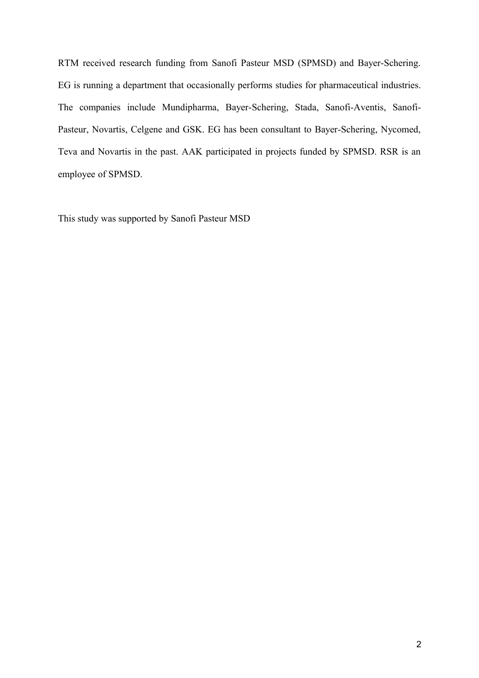RTM received research funding from Sanofi Pasteur MSD (SPMSD) and Bayer-Schering. EG is running a department that occasionally performs studies for pharmaceutical industries. The companies include Mundipharma, Bayer-Schering, Stada, Sanofi-Aventis, Sanofi-Pasteur, Novartis, Celgene and GSK. EG has been consultant to Bayer-Schering, Nycomed, Teva and Novartis in the past. AAK participated in projects funded by SPMSD. RSR is an employee of SPMSD.

This study was supported by Sanofi Pasteur MSD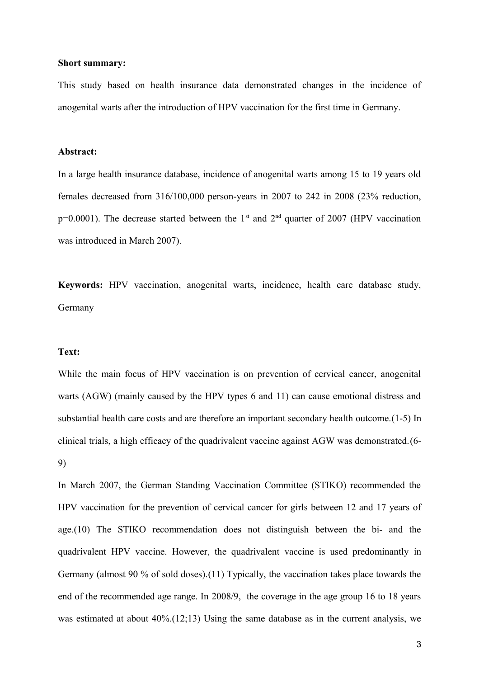### **Short summary:**

This study based on health insurance data demonstrated changes in the incidence of anogenital warts after the introduction of HPV vaccination for the first time in Germany.

### **Abstract:**

In a large health insurance database, incidence of anogenital warts among 15 to 19 years old females decreased from 316/100,000 person-years in 2007 to 242 in 2008 (23% reduction,  $p=0.0001$ ). The decrease started between the 1<sup>st</sup> and 2<sup>nd</sup> quarter of 2007 (HPV vaccination was introduced in March 2007).

**Keywords:** HPV vaccination, anogenital warts, incidence, health care database study, Germany

### **Text:**

While the main focus of HPV vaccination is on prevention of cervical cancer, anogenital warts (AGW) (mainly caused by the HPV types 6 and 11) can cause emotional distress and substantial health care costs and are therefore an important secondary health outcome.(1-5) In clinical trials, a high efficacy of the quadrivalent vaccine against AGW was demonstrated.(6- 9)

In March 2007, the German Standing Vaccination Committee (STIKO) recommended the HPV vaccination for the prevention of cervical cancer for girls between 12 and 17 years of age.(10) The STIKO recommendation does not distinguish between the bi- and the quadrivalent HPV vaccine. However, the quadrivalent vaccine is used predominantly in Germany (almost 90 % of sold doses).(11) Typically, the vaccination takes place towards the end of the recommended age range. In 2008/9, the coverage in the age group 16 to 18 years was estimated at about 40%.(12;13) Using the same database as in the current analysis, we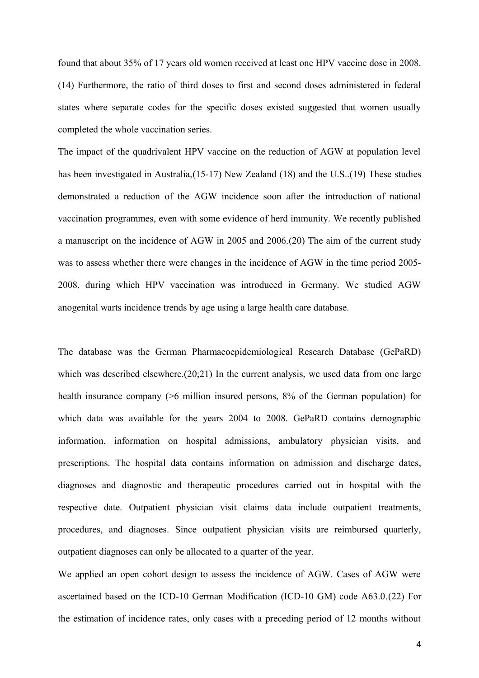found that about 35% of 17 years old women received at least one HPV vaccine dose in 2008. (14) Furthermore, the ratio of third doses to first and second doses administered in federal states where separate codes for the specific doses existed suggested that women usually completed the whole vaccination series.

The impact of the quadrivalent HPV vaccine on the reduction of AGW at population level has been investigated in Australia,(15-17) New Zealand (18) and the U.S..(19) These studies demonstrated a reduction of the AGW incidence soon after the introduction of national vaccination programmes, even with some evidence of herd immunity. We recently published a manuscript on the incidence of AGW in 2005 and 2006.(20) The aim of the current study was to assess whether there were changes in the incidence of AGW in the time period 2005- 2008, during which HPV vaccination was introduced in Germany. We studied AGW anogenital warts incidence trends by age using a large health care database.

The database was the German Pharmacoepidemiological Research Database (GePaRD) which was described elsewhere.(20;21) In the current analysis, we used data from one large health insurance company ( $\geq 6$  million insured persons, 8% of the German population) for which data was available for the years 2004 to 2008. GePaRD contains demographic information, information on hospital admissions, ambulatory physician visits, and prescriptions. The hospital data contains information on admission and discharge dates, diagnoses and diagnostic and therapeutic procedures carried out in hospital with the respective date. Outpatient physician visit claims data include outpatient treatments, procedures, and diagnoses. Since outpatient physician visits are reimbursed quarterly, outpatient diagnoses can only be allocated to a quarter of the year.

We applied an open cohort design to assess the incidence of AGW. Cases of AGW were ascertained based on the ICD-10 German Modification (ICD-10 GM) code A63.0.(22) For the estimation of incidence rates, only cases with a preceding period of 12 months without

4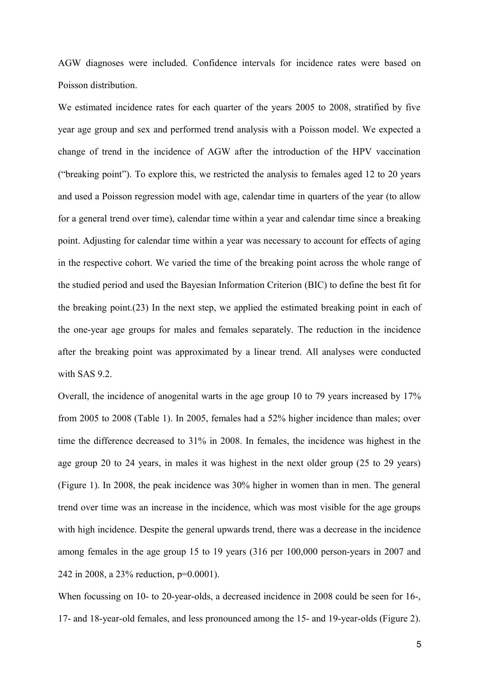AGW diagnoses were included. Confidence intervals for incidence rates were based on Poisson distribution.

We estimated incidence rates for each quarter of the years 2005 to 2008, stratified by five year age group and sex and performed trend analysis with a Poisson model. We expected a change of trend in the incidence of AGW after the introduction of the HPV vaccination ("breaking point"). To explore this, we restricted the analysis to females aged 12 to 20 years and used a Poisson regression model with age, calendar time in quarters of the year (to allow for a general trend over time), calendar time within a year and calendar time since a breaking point. Adjusting for calendar time within a year was necessary to account for effects of aging in the respective cohort. We varied the time of the breaking point across the whole range of the studied period and used the Bayesian Information Criterion (BIC) to define the best fit for the breaking point.(23) In the next step, we applied the estimated breaking point in each of the one-year age groups for males and females separately. The reduction in the incidence after the breaking point was approximated by a linear trend. All analyses were conducted with SAS 9.2.

Overall, the incidence of anogenital warts in the age group 10 to 79 years increased by 17% from 2005 to 2008 (Table 1). In 2005, females had a 52% higher incidence than males; over time the difference decreased to 31% in 2008. In females, the incidence was highest in the age group 20 to 24 years, in males it was highest in the next older group (25 to 29 years) (Figure 1). In 2008, the peak incidence was 30% higher in women than in men. The general trend over time was an increase in the incidence, which was most visible for the age groups with high incidence. Despite the general upwards trend, there was a decrease in the incidence among females in the age group 15 to 19 years (316 per 100,000 person-years in 2007 and 242 in 2008, a 23% reduction, p=0.0001).

When focussing on 10- to 20-year-olds, a decreased incidence in 2008 could be seen for 16-, 17- and 18-year-old females, and less pronounced among the 15- and 19-year-olds (Figure 2).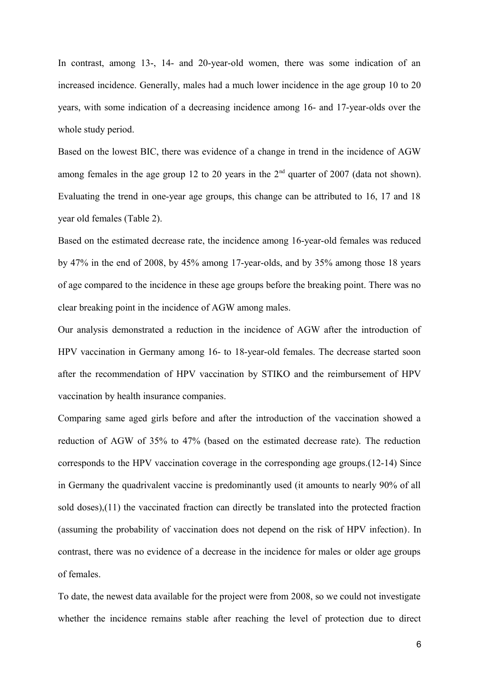In contrast, among 13-, 14- and 20-year-old women, there was some indication of an increased incidence. Generally, males had a much lower incidence in the age group 10 to 20 years, with some indication of a decreasing incidence among 16- and 17-year-olds over the whole study period.

Based on the lowest BIC, there was evidence of a change in trend in the incidence of AGW among females in the age group 12 to 20 years in the  $2<sup>nd</sup>$  quarter of 2007 (data not shown). Evaluating the trend in one-year age groups, this change can be attributed to 16, 17 and 18 year old females (Table 2).

Based on the estimated decrease rate, the incidence among 16-year-old females was reduced by 47% in the end of 2008, by 45% among 17-year-olds, and by 35% among those 18 years of age compared to the incidence in these age groups before the breaking point. There was no clear breaking point in the incidence of AGW among males.

Our analysis demonstrated a reduction in the incidence of AGW after the introduction of HPV vaccination in Germany among 16- to 18-year-old females. The decrease started soon after the recommendation of HPV vaccination by STIKO and the reimbursement of HPV vaccination by health insurance companies.

Comparing same aged girls before and after the introduction of the vaccination showed a reduction of AGW of 35% to 47% (based on the estimated decrease rate). The reduction corresponds to the HPV vaccination coverage in the corresponding age groups.(12-14) Since in Germany the quadrivalent vaccine is predominantly used (it amounts to nearly 90% of all sold doses),(11) the vaccinated fraction can directly be translated into the protected fraction (assuming the probability of vaccination does not depend on the risk of HPV infection). In contrast, there was no evidence of a decrease in the incidence for males or older age groups of females.

To date, the newest data available for the project were from 2008, so we could not investigate whether the incidence remains stable after reaching the level of protection due to direct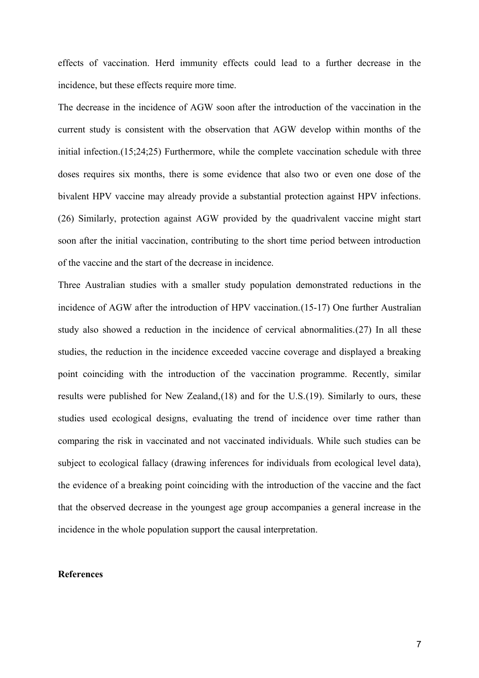effects of vaccination. Herd immunity effects could lead to a further decrease in the incidence, but these effects require more time.

The decrease in the incidence of AGW soon after the introduction of the vaccination in the current study is consistent with the observation that AGW develop within months of the initial infection.(15;24;25) Furthermore, while the complete vaccination schedule with three doses requires six months, there is some evidence that also two or even one dose of the bivalent HPV vaccine may already provide a substantial protection against HPV infections. (26) Similarly, protection against AGW provided by the quadrivalent vaccine might start soon after the initial vaccination, contributing to the short time period between introduction of the vaccine and the start of the decrease in incidence.

Three Australian studies with a smaller study population demonstrated reductions in the incidence of AGW after the introduction of HPV vaccination.(15-17) One further Australian study also showed a reduction in the incidence of cervical abnormalities.(27) In all these studies, the reduction in the incidence exceeded vaccine coverage and displayed a breaking point coinciding with the introduction of the vaccination programme. Recently, similar results were published for New Zealand,(18) and for the U.S.(19). Similarly to ours, these studies used ecological designs, evaluating the trend of incidence over time rather than comparing the risk in vaccinated and not vaccinated individuals. While such studies can be subject to ecological fallacy (drawing inferences for individuals from ecological level data), the evidence of a breaking point coinciding with the introduction of the vaccine and the fact that the observed decrease in the youngest age group accompanies a general increase in the incidence in the whole population support the causal interpretation.

## **References**